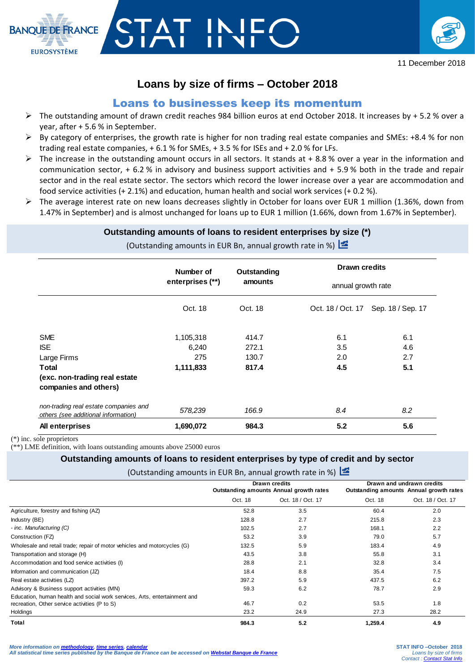

# **Loans by size of firms – October 2018**

# Loans to businesses keep its momentum

- $\triangleright$  The outstanding amount of drawn credit reaches 984 billion euros at end October 2018. It increases by + 5.2 % over a year, after + 5.6 % in September.
- $\triangleright$  By category of enterprises, the growth rate is higher for non trading real estate companies and SMEs: +8.4 % for non trading real estate companies, + 6.1 % for SMEs, + 3.5 % for ISEs and + 2.0 % for LFs.
- $\triangleright$  The increase in the outstanding amount occurs in all sectors. It stands at + 8.8 % over a year in the information and communication sector, + 6.2 % in advisory and business support activities and + 5.9 % both in the trade and repair sector and in the real estate sector. The sectors which record the lower increase over a year are accommodation and food service activities (+ 2.1%) and education, human health and social work services (+ 0.2 %).
- The average interest rate on new loans decreases slightly in October for loans over EUR 1 million (1.36%, down from 1.47% in September) and is almost unchanged for loans up to EUR 1 million (1.66%, down from 1.67% in September).

#### **Outstanding amounts of loans to resident enterprises by size (\*)**

(Outstanding amounts in EUR Bn, annual growth rate in %)

|                                                                              | Number of<br>enterprises (**) | Outstanding<br>amounts | <b>Drawn credits</b><br>annual growth rate |                   |
|------------------------------------------------------------------------------|-------------------------------|------------------------|--------------------------------------------|-------------------|
|                                                                              |                               |                        |                                            |                   |
|                                                                              | Oct. 18                       | Oct. 18                | Oct. 18 / Oct. 17                          | Sep. 18 / Sep. 17 |
| <b>SME</b><br><b>ISE</b>                                                     | 1,105,318<br>6,240            | 414.7<br>272.1         | 6.1<br>3.5                                 | 6.1<br>4.6        |
| Large Firms                                                                  | 275                           | 130.7                  | 2.0                                        | 2.7               |
| Total<br>(exc. non-trading real estate<br>companies and others)              | 1,111,833                     | 817.4                  | 4.5                                        | 5.1               |
| non-trading real estate companies and<br>others (see additional information) | 578,239                       | 166.9                  | 8.4                                        | 8.2               |
| All enterprises                                                              | 1,690,072                     | 984.3                  | 5.2                                        | 5.6               |

(\*) inc. sole proprietors

**BANOUE DE ERANCE** 

**EUROSYSTÈME** 

(\*\*) LME definition, with loans outstanding amounts above 25000 euros

### **Outstanding amounts of loans to resident enterprises by type of credit and by sector**

(Outstanding amounts in EUR Bn, annual growth rate in %)  $\leq$ 

|                                                                           |                                         | Drawn credits     | Drawn and undrawn credits               |                   |
|---------------------------------------------------------------------------|-----------------------------------------|-------------------|-----------------------------------------|-------------------|
|                                                                           | Outstanding amounts Annual growth rates |                   | Outstanding amounts Annual growth rates |                   |
|                                                                           | Oct. 18                                 | Oct. 18 / Oct. 17 | Oct. 18                                 | Oct. 18 / Oct. 17 |
| Agriculture, forestry and fishing (AZ)                                    | 52.8                                    | 3.5               | 60.4                                    | 2.0               |
| Industry (BE)                                                             | 128.8                                   | 2.7               | 215.8                                   | 2.3               |
| - inc. Manufacturing (C)                                                  | 102.5                                   | 2.7               | 168.1                                   | 2.2               |
| Construction (FZ)                                                         | 53.2                                    | 3.9               | 79.0                                    | 5.7               |
| Wholesale and retail trade; repair of motor vehicles and motorcycles (G)  | 132.5                                   | 5.9               | 183.4                                   | 4.9               |
| Transportation and storage (H)                                            | 43.5                                    | 3.8               | 55.8                                    | 3.1               |
| Accommodation and food service activities (I)                             | 28.8                                    | 2.1               | 32.8                                    | 3.4               |
| Information and communication (JZ)                                        | 18.4                                    | 8.8               | 35.4                                    | 7.5               |
| Real estate activities (LZ)                                               | 397.2                                   | 5.9               | 437.5                                   | 6.2               |
| Advisory & Business support activities (MN)                               | 59.3                                    | 6.2               | 78.7                                    | 2.9               |
| Education, human health and social work services, Arts, entertainment and |                                         |                   |                                         |                   |
| recreation, Other service activities (P to S)                             | 46.7                                    | 0.2               | 53.5                                    | 1.8               |
| Holdings                                                                  | 23.2                                    | 24.9              | 27.3                                    | 28.2              |
| Total                                                                     | 984.3                                   | 5.2               | 1,259.4                                 | 4.9               |